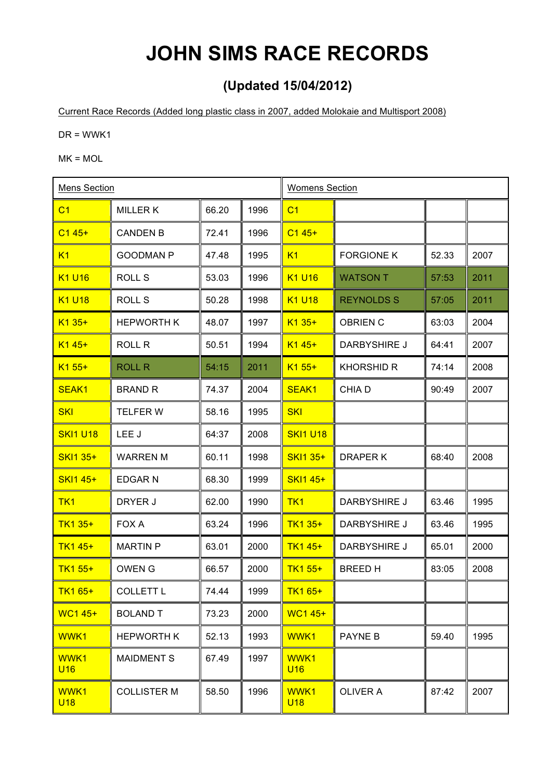## **JOHN SIMS RACE RECORDS**

## **(Updated 15/04/2012)**

Current Race Records (Added long plastic class in 2007, added Molokaie and Multisport 2008)

 $DR = WWK1$ 

 $MK = MOL$ 

| <b>Mens Section</b> |                    |       | <b>Womens Section</b> |                    |                     |       |      |
|---------------------|--------------------|-------|-----------------------|--------------------|---------------------|-------|------|
| C <sub>1</sub>      | <b>MILLERK</b>     | 66.20 | 1996                  | C <sub>1</sub>     |                     |       |      |
| $C145+$             | <b>CANDEN B</b>    | 72.41 | 1996                  | $C145+$            |                     |       |      |
| K1                  | <b>GOODMAN P</b>   | 47.48 | 1995                  | K1                 | <b>FORGIONE K</b>   | 52.33 | 2007 |
| <b>K1 U16</b>       | ROLL S             | 53.03 | 1996                  | <b>K1 U16</b>      | <b>WATSON T</b>     | 57:53 | 2011 |
| <b>K1 U18</b>       | ROLL S             | 50.28 | 1998                  | <b>K1 U18</b>      | <b>REYNOLDS S</b>   | 57:05 | 2011 |
| $K135+$             | <b>HEPWORTH K</b>  | 48.07 | 1997                  | $K135+$            | <b>OBRIEN C</b>     | 63:03 | 2004 |
| $K145+$             | ROLL R             | 50.51 | 1994                  | $K145+$            | DARBYSHIRE J        | 64:41 | 2007 |
| $K155+$             | <b>ROLL R</b>      | 54:15 | 2011                  | $K1 55+$           | <b>KHORSHID R</b>   | 74:14 | 2008 |
| SEAK <sub>1</sub>   | <b>BRAND R</b>     | 74.37 | 2004                  | SEAK <sub>1</sub>  | CHIA D              | 90:49 | 2007 |
| <b>SKI</b>          | <b>TELFER W</b>    | 58.16 | 1995                  | <b>SKI</b>         |                     |       |      |
| <b>SKI1 U18</b>     | LEE J              | 64:37 | 2008                  | <b>SKI1 U18</b>    |                     |       |      |
| SKI1 35+            | <b>WARREN M</b>    | 60.11 | 1998                  | <b>SKI1 35+</b>    | DRAPER K            | 68:40 | 2008 |
| <b>SKI1 45+</b>     | <b>EDGARN</b>      | 68.30 | 1999                  | <b>SKI1 45+</b>    |                     |       |      |
| TK <sub>1</sub>     | DRYER J            | 62.00 | 1990                  | TK <sub>1</sub>    | DARBYSHIRE J        | 63.46 | 1995 |
| <b>TK1 35+</b>      | FOX A              | 63.24 | 1996                  | <b>TK1 35+</b>     | DARBYSHIRE J        | 63.46 | 1995 |
| <b>TK1 45+</b>      | <b>MARTIN P</b>    | 63.01 | 2000                  | TK1 45+            | <b>DARBYSHIRE J</b> | 65.01 | 2000 |
| TK1 55+             | <b>OWEN G</b>      | 66.57 | 2000                  | TK1 55+            | <b>BREEDH</b>       | 83:05 | 2008 |
| TK1 65+             | <b>COLLETT L</b>   | 74.44 | 1999                  | $TK165+$           |                     |       |      |
| <b>WC145+</b>       | <b>BOLAND T</b>    | 73.23 | 2000                  | <b>WC1 45+</b>     |                     |       |      |
| WWK1                | <b>HEPWORTH K</b>  | 52.13 | 1993                  | WWK1               | <b>PAYNE B</b>      | 59.40 | 1995 |
| WWK1<br><b>U16</b>  | <b>MAIDMENT S</b>  | 67.49 | 1997                  | WWK1<br><b>U16</b> |                     |       |      |
| WWK1<br><b>U18</b>  | <b>COLLISTER M</b> | 58.50 | 1996                  | WWK1<br><b>U18</b> | <b>OLIVER A</b>     | 87:42 | 2007 |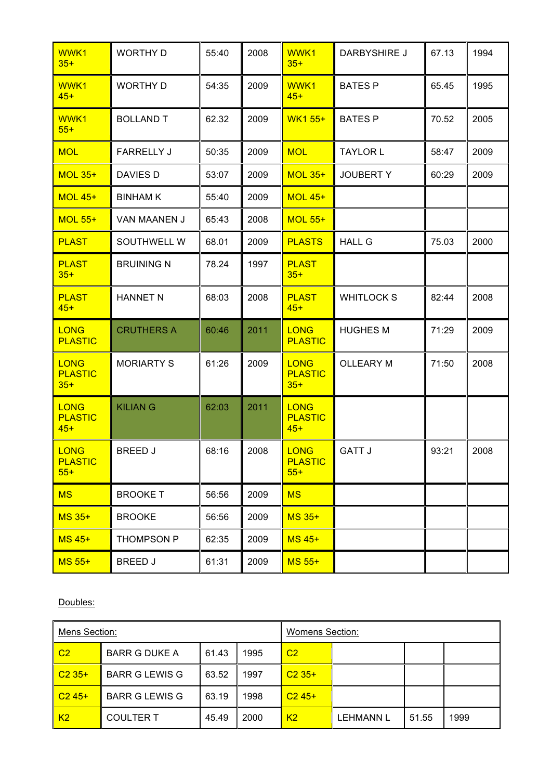| WWK1<br>$35+$                          | <b>WORTHY D</b>   | 55:40 | 2008 | WWK1<br>$35+$                          | DARBYSHIRE J     | 67.13 | 1994 |
|----------------------------------------|-------------------|-------|------|----------------------------------------|------------------|-------|------|
| WWK1<br>$45+$                          | <b>WORTHY D</b>   | 54:35 | 2009 | WWK1<br>$45+$                          | <b>BATES P</b>   | 65.45 | 1995 |
| WWK1<br>$55+$                          | <b>BOLLAND T</b>  | 62.32 | 2009 | <b>WK155+</b>                          | <b>BATES P</b>   | 70.52 | 2005 |
| <b>MOL</b>                             | <b>FARRELLY J</b> | 50:35 | 2009 | <b>MOL</b>                             | <b>TAYLOR L</b>  | 58:47 | 2009 |
| <b>MOL 35+</b>                         | <b>DAVIES D</b>   | 53:07 | 2009 | <b>MOL 35+</b>                         | <b>JOUBERTY</b>  | 60:29 | 2009 |
| <b>MOL 45+</b>                         | <b>BINHAM K</b>   | 55:40 | 2009 | <b>MOL 45+</b>                         |                  |       |      |
| <b>MOL 55+</b>                         | VAN MAANEN J      | 65:43 | 2008 | <b>MOL 55+</b>                         |                  |       |      |
| <b>PLAST</b>                           | SOUTHWELL W       | 68.01 | 2009 | <b>PLASTS</b>                          | <b>HALL G</b>    | 75.03 | 2000 |
| <b>PLAST</b><br>$35+$                  | <b>BRUINING N</b> | 78.24 | 1997 | <b>PLAST</b><br>$35+$                  |                  |       |      |
| <b>PLAST</b><br>$45+$                  | <b>HANNET N</b>   | 68:03 | 2008 | <b>PLAST</b><br>$45+$                  | <b>WHITLOCKS</b> | 82:44 | 2008 |
| <b>LONG</b><br><b>PLASTIC</b>          | <b>CRUTHERS A</b> | 60:46 | 2011 | <b>LONG</b><br><b>PLASTIC</b>          | <b>HUGHES M</b>  | 71:29 | 2009 |
| <b>LONG</b><br><b>PLASTIC</b><br>$35+$ | <b>MORIARTY S</b> | 61:26 | 2009 | <b>LONG</b><br><b>PLASTIC</b><br>$35+$ | <b>OLLEARY M</b> | 71:50 | 2008 |
| <b>LONG</b><br><b>PLASTIC</b><br>$45+$ | <b>KILIAN G</b>   | 62:03 | 2011 | <b>LONG</b><br><b>PLASTIC</b><br>$45+$ |                  |       |      |
| <b>LONG</b><br><b>PLASTIC</b><br>$55+$ | <b>BREED J</b>    | 68:16 | 2008 | <b>LONG</b><br><b>PLASTIC</b><br>$55+$ | <b>GATT J</b>    | 93:21 | 2008 |
| <b>MS</b>                              | <b>BROOKET</b>    | 56:56 | 2009 | <b>MS</b>                              |                  |       |      |
| $MS$ 35+                               | <b>BROOKE</b>     | 56:56 | 2009 | <b>MS 35+</b>                          |                  |       |      |
| $MS$ 45+                               | <b>THOMPSON P</b> | 62:35 | 2009 | <b>MS 45+</b>                          |                  |       |      |
| <b>MS 55+</b>                          | <b>BREED J</b>    | 61:31 | 2009 | <b>MS 55+</b>                          |                  |       |      |

Doubles:

| Mens Section:  |                       |       | <b>Womens Section:</b> |                |                  |       |      |
|----------------|-----------------------|-------|------------------------|----------------|------------------|-------|------|
| C <sub>2</sub> | <b>BARR G DUKE A</b>  | 61.43 | 1995                   | C <sub>2</sub> |                  |       |      |
| $C235+$        | <b>BARR G LEWIS G</b> | 63.52 | 1997                   | $C235+$        |                  |       |      |
| $C245+$        | <b>BARR G LEWIS G</b> | 63.19 | 1998                   | $C245+$        |                  |       |      |
| K <sub>2</sub> | <b>COULTER T</b>      | 45.49 | 2000                   | K <sub>2</sub> | <b>LEHMANN L</b> | 51.55 | 1999 |